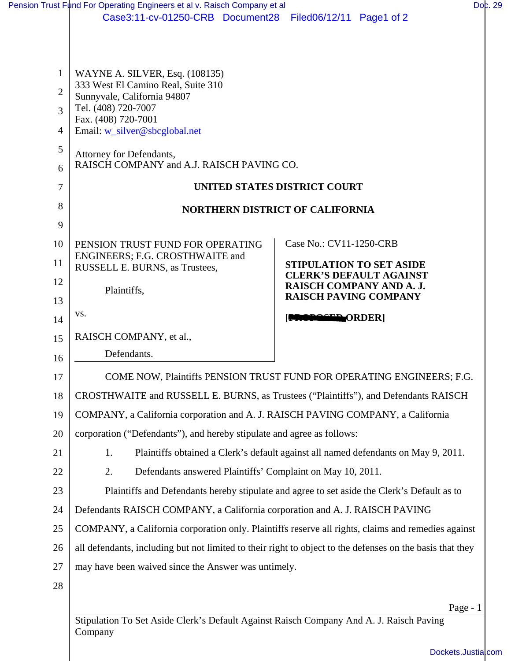|                | Pension Trust Fund For Operating Engineers et al v. Raisch Company et al                                  | Doc. 29                                                    |  |
|----------------|-----------------------------------------------------------------------------------------------------------|------------------------------------------------------------|--|
|                | Case3:11-cv-01250-CRB Document28 Filed06/12/11 Page1 of 2                                                 |                                                            |  |
|                |                                                                                                           |                                                            |  |
|                |                                                                                                           |                                                            |  |
| 1              | WAYNE A. SILVER, Esq. (108135)<br>333 West El Camino Real, Suite 310                                      |                                                            |  |
| $\overline{2}$ | Sunnyvale, California 94807                                                                               |                                                            |  |
| 3              | Tel. (408) 720-7007<br>Fax. (408) 720-7001                                                                |                                                            |  |
| 4              | Email: w_silver@sbcglobal.net                                                                             |                                                            |  |
| 5              | Attorney for Defendants,                                                                                  |                                                            |  |
| 6              | RAISCH COMPANY and A.J. RAISCH PAVING CO.                                                                 |                                                            |  |
| 7              | <b>UNITED STATES DISTRICT COURT</b>                                                                       |                                                            |  |
| 8              | <b>NORTHERN DISTRICT OF CALIFORNIA</b>                                                                    |                                                            |  |
| 9              |                                                                                                           |                                                            |  |
| 10             | PENSION TRUST FUND FOR OPERATING                                                                          | Case No.: CV11-1250-CRB                                    |  |
| 11             | ENGINEERS; F.G. CROSTHWAITE and<br>RUSSELL E. BURNS, as Trustees,                                         | <b>STIPULATION TO SET ASIDE</b>                            |  |
| 12             | Plaintiffs,                                                                                               | <b>CLERK'S DEFAULT AGAINST</b><br>RAISCH COMPANY AND A. J. |  |
| 13             |                                                                                                           | <b>RAISCH PAVING COMPANY</b>                               |  |
| 14             | VS.                                                                                                       | <b>NOPOSED ORDER</b>                                       |  |
| 15             | RAISCH COMPANY, et al.,                                                                                   |                                                            |  |
| 16             | Defendants.                                                                                               |                                                            |  |
| 17             | COME NOW, Plaintiffs PENSION TRUST FUND FOR OPERATING ENGINEERS; F.G.                                     |                                                            |  |
| 18             | CROSTHWAITE and RUSSELL E. BURNS, as Trustees ("Plaintiffs"), and Defendants RAISCH                       |                                                            |  |
| 19             | COMPANY, a California corporation and A. J. RAISCH PAVING COMPANY, a California                           |                                                            |  |
| 20             | corporation ("Defendants"), and hereby stipulate and agree as follows:                                    |                                                            |  |
| 21             | Plaintiffs obtained a Clerk's default against all named defendants on May 9, 2011.<br>1.                  |                                                            |  |
| 22             | 2.<br>Defendants answered Plaintiffs' Complaint on May 10, 2011.                                          |                                                            |  |
| 23             | Plaintiffs and Defendants hereby stipulate and agree to set aside the Clerk's Default as to               |                                                            |  |
| 24             | Defendants RAISCH COMPANY, a California corporation and A. J. RAISCH PAVING                               |                                                            |  |
| 25             | COMPANY, a California corporation only. Plaintiffs reserve all rights, claims and remedies against        |                                                            |  |
| 26             | all defendants, including but not limited to their right to object to the defenses on the basis that they |                                                            |  |
| 27             | may have been waived since the Answer was untimely.                                                       |                                                            |  |
| 28             |                                                                                                           |                                                            |  |
|                |                                                                                                           | Page - $1$                                                 |  |
|                | Stipulation To Set Aside Clerk's Default Against Raisch Company And A. J. Raisch Paving                   |                                                            |  |

Stipulation To Set Aside Clerk's Default Against Raisch Company And A. J. Raisch Paving Stipulation<br>Company

[Dockets.Justia.com](http://dockets.justia.com/)